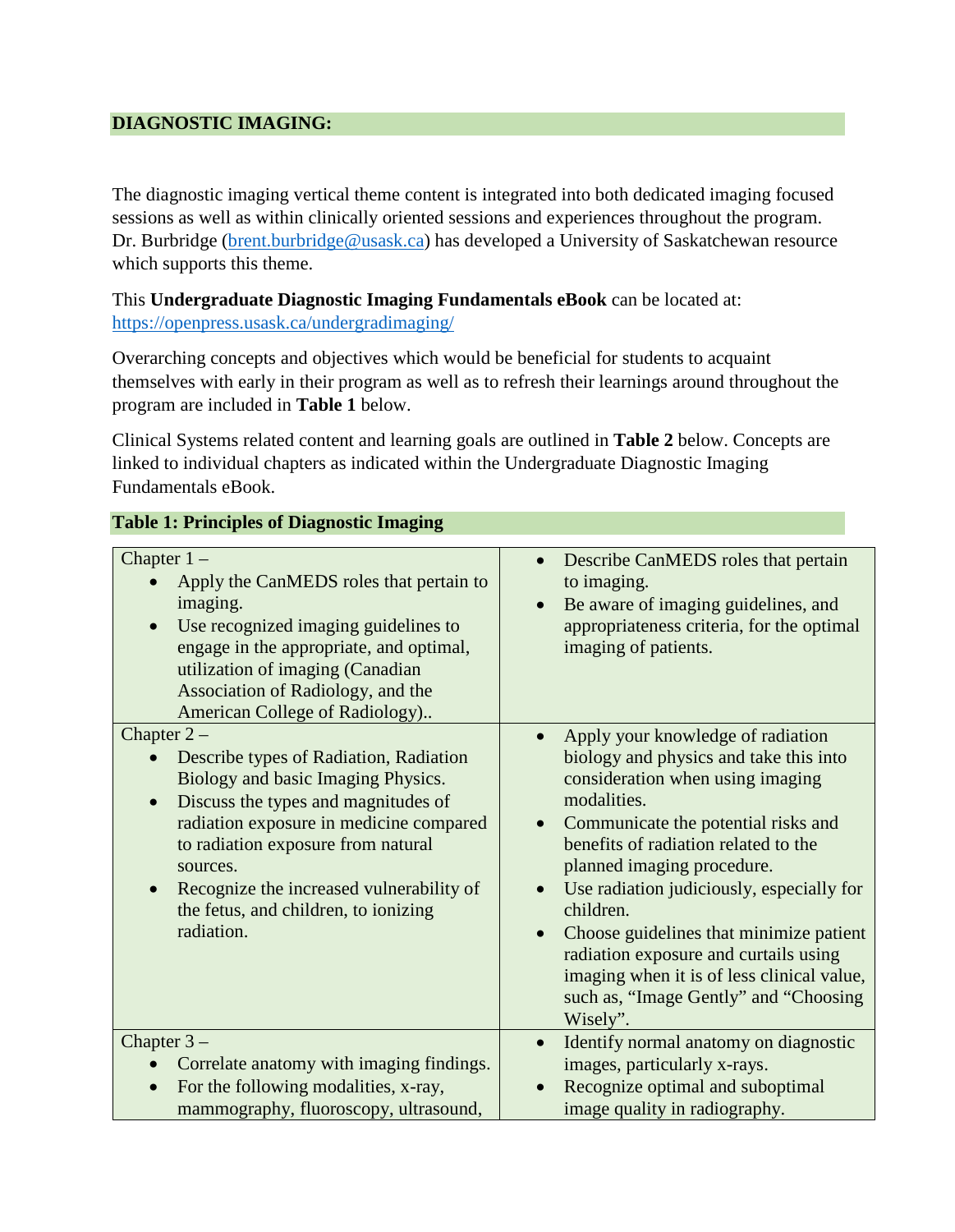## **DIAGNOSTIC IMAGING:**

The diagnostic imaging vertical theme content is integrated into both dedicated imaging focused sessions as well as within clinically oriented sessions and experiences throughout the program. Dr. Burbridge [\(brent.burbridge@usask.ca\)](mailto:brent.burbridge@usask.ca) has developed a University of Saskatchewan resource which supports this theme.

This **Undergraduate Diagnostic Imaging Fundamentals eBook** can be located at: <https://openpress.usask.ca/undergradimaging/>

Overarching concepts and objectives which would be beneficial for students to acquaint themselves with early in their program as well as to refresh their learnings around throughout the program are included in **Table 1** below.

Clinical Systems related content and learning goals are outlined in **Table 2** below. Concepts are linked to individual chapters as indicated within the Undergraduate Diagnostic Imaging Fundamentals eBook.

| тарк т. типерез от радиозие пладид                                                                                                                                                                                                                                                                                                              |                                                                                                                                                                                                                                                                                                                                                                                                                                                                                                                                                  |
|-------------------------------------------------------------------------------------------------------------------------------------------------------------------------------------------------------------------------------------------------------------------------------------------------------------------------------------------------|--------------------------------------------------------------------------------------------------------------------------------------------------------------------------------------------------------------------------------------------------------------------------------------------------------------------------------------------------------------------------------------------------------------------------------------------------------------------------------------------------------------------------------------------------|
| Chapter $1 -$<br>Apply the CanMEDS roles that pertain to<br>imaging.<br>Use recognized imaging guidelines to<br>engage in the appropriate, and optimal,<br>utilization of imaging (Canadian<br>Association of Radiology, and the<br>American College of Radiology)                                                                              | Describe CanMEDS roles that pertain<br>$\bullet$<br>to imaging.<br>Be aware of imaging guidelines, and<br>$\bullet$<br>appropriateness criteria, for the optimal<br>imaging of patients.                                                                                                                                                                                                                                                                                                                                                         |
| Chapter $2-$<br>Describe types of Radiation, Radiation<br>Biology and basic Imaging Physics.<br>Discuss the types and magnitudes of<br>$\bullet$<br>radiation exposure in medicine compared<br>to radiation exposure from natural<br>sources.<br>Recognize the increased vulnerability of<br>the fetus, and children, to ionizing<br>radiation. | Apply your knowledge of radiation<br>$\bullet$<br>biology and physics and take this into<br>consideration when using imaging<br>modalities.<br>Communicate the potential risks and<br>$\bullet$<br>benefits of radiation related to the<br>planned imaging procedure.<br>Use radiation judiciously, especially for<br>$\bullet$<br>children.<br>Choose guidelines that minimize patient<br>$\bullet$<br>radiation exposure and curtails using<br>imaging when it is of less clinical value,<br>such as, "Image Gently" and "Choosing<br>Wisely". |
| Chapter $3-$<br>Correlate anatomy with imaging findings.<br>For the following modalities, x-ray,<br>$\bullet$<br>mammography, fluoroscopy, ultrasound,                                                                                                                                                                                          | Identify normal anatomy on diagnostic<br>$\bullet$<br>images, particularly x-rays.<br>Recognize optimal and suboptimal<br>image quality in radiography.                                                                                                                                                                                                                                                                                                                                                                                          |

## **Table 1: Principles of Diagnostic Imaging**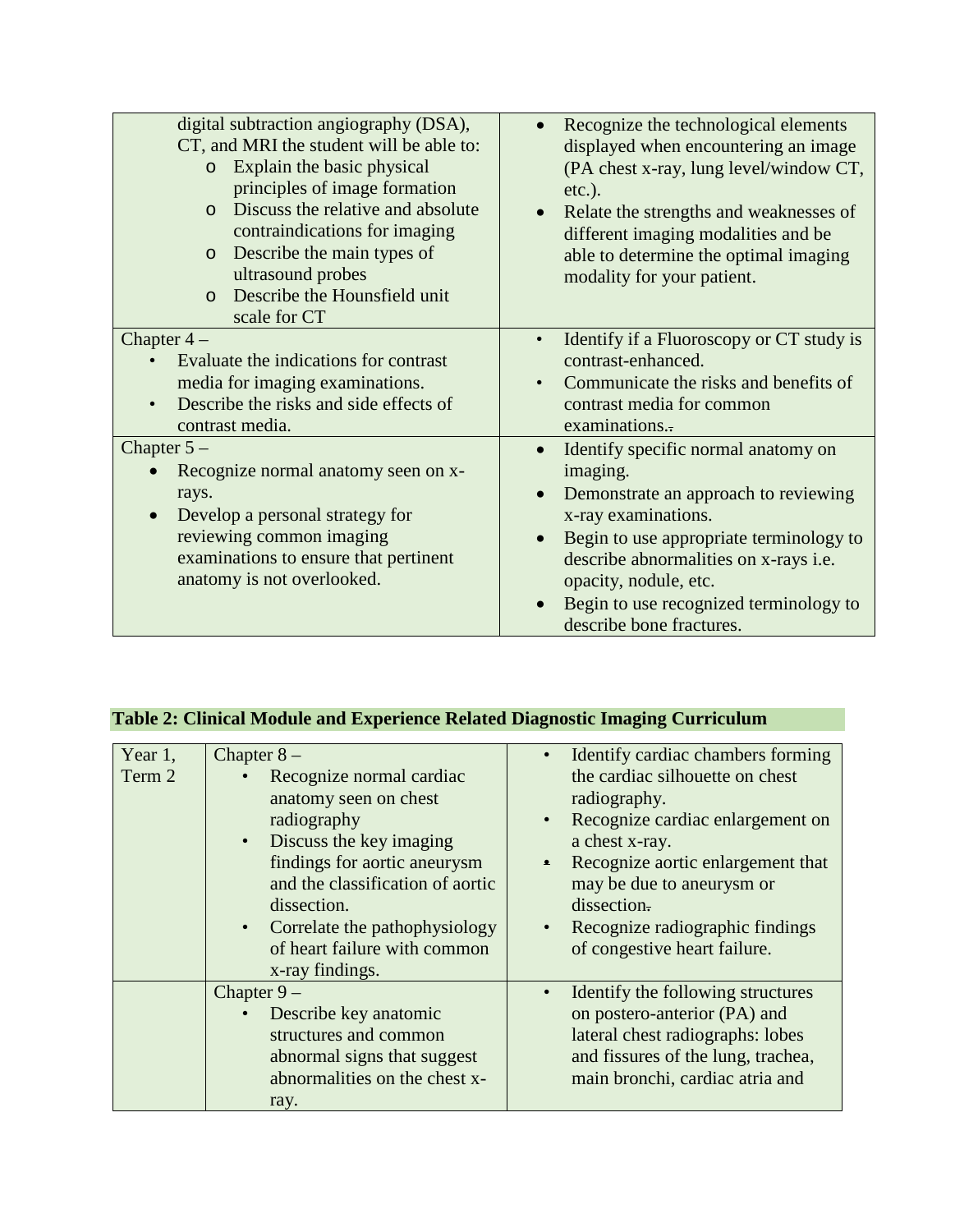| digital subtraction angiography (DSA),<br>CT, and MRI the student will be able to:<br>Explain the basic physical<br>$\circ$<br>principles of image formation<br>Discuss the relative and absolute<br>$\Omega$<br>contraindications for imaging<br>Describe the main types of<br>$\circ$<br>ultrasound probes<br>Describe the Hounsfield unit<br>$\Omega$<br>scale for CT | Recognize the technological elements<br>displayed when encountering an image<br>(PA chest x-ray, lung level/window CT,<br>$etc.$ ).<br>Relate the strengths and weaknesses of<br>different imaging modalities and be<br>able to determine the optimal imaging<br>modality for your patient.       |
|--------------------------------------------------------------------------------------------------------------------------------------------------------------------------------------------------------------------------------------------------------------------------------------------------------------------------------------------------------------------------|---------------------------------------------------------------------------------------------------------------------------------------------------------------------------------------------------------------------------------------------------------------------------------------------------|
| Chapter $4-$<br>Evaluate the indications for contrast<br>media for imaging examinations.<br>Describe the risks and side effects of<br>contrast media.                                                                                                                                                                                                                    | Identify if a Fluoroscopy or CT study is<br>contrast-enhanced.<br>Communicate the risks and benefits of<br>contrast media for common<br>examinations.                                                                                                                                             |
| Chapter $5-$<br>Recognize normal anatomy seen on x-<br>rays.<br>Develop a personal strategy for<br>reviewing common imaging<br>examinations to ensure that pertinent<br>anatomy is not overlooked.                                                                                                                                                                       | Identify specific normal anatomy on<br>imaging.<br>Demonstrate an approach to reviewing<br>x-ray examinations.<br>Begin to use appropriate terminology to<br>describe abnormalities on x-rays i.e.<br>opacity, nodule, etc.<br>Begin to use recognized terminology to<br>describe bone fractures. |

## **Table 2: Clinical Module and Experience Related Diagnostic Imaging Curriculum**

| Year $1$ ,<br>Term 2 | Chapter $8-$<br>Recognize normal cardiac<br>$\bullet$<br>anatomy seen on chest<br>radiography<br>Discuss the key imaging<br>$\bullet$<br>findings for aortic aneurysm<br>and the classification of aortic<br>dissection.<br>• Correlate the pathophysiology<br>of heart failure with common<br>x-ray findings. | $\bullet$<br>$\bullet$<br>$\bullet$<br>$\bullet$ | Identify cardiac chambers forming<br>the cardiac silhouette on chest<br>radiography.<br>Recognize cardiac enlargement on<br>a chest x-ray.<br>Recognize aortic enlargement that<br>may be due to aneurysm or<br>dissection.<br>Recognize radiographic findings<br>of congestive heart failure. |
|----------------------|----------------------------------------------------------------------------------------------------------------------------------------------------------------------------------------------------------------------------------------------------------------------------------------------------------------|--------------------------------------------------|------------------------------------------------------------------------------------------------------------------------------------------------------------------------------------------------------------------------------------------------------------------------------------------------|
|                      | Chapter $9-$<br>Describe key anatomic<br>$\bullet$<br>structures and common<br>abnormal signs that suggest<br>abnormalities on the chest x-<br>ray.                                                                                                                                                            | $\bullet$                                        | Identify the following structures<br>on postero-anterior (PA) and<br>lateral chest radiographs: lobes<br>and fissures of the lung, trachea,<br>main bronchi, cardiac atria and                                                                                                                 |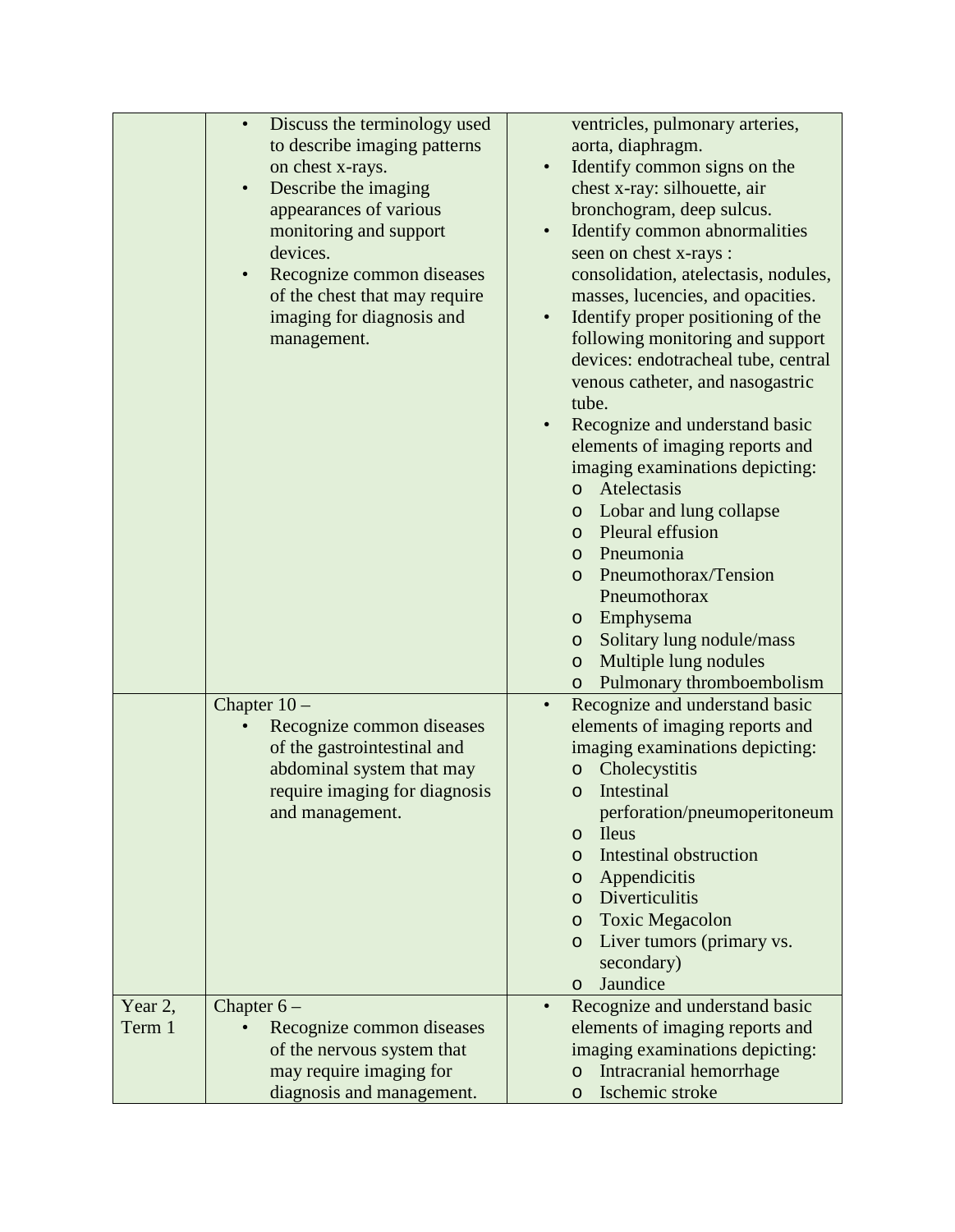|         | Discuss the terminology used<br>$\bullet$ | ventricles, pulmonary arteries,             |
|---------|-------------------------------------------|---------------------------------------------|
|         | to describe imaging patterns              | aorta, diaphragm.                           |
|         | on chest x-rays.                          | Identify common signs on the<br>$\bullet$   |
|         | Describe the imaging<br>$\bullet$         | chest x-ray: silhouette, air                |
|         | appearances of various                    | bronchogram, deep sulcus.                   |
|         | monitoring and support                    | Identify common abnormalities               |
|         | devices.                                  | seen on chest x-rays :                      |
|         | Recognize common diseases<br>$\bullet$    | consolidation, atelectasis, nodules,        |
|         | of the chest that may require             | masses, lucencies, and opacities.           |
|         | imaging for diagnosis and                 | Identify proper positioning of the          |
|         | management.                               | following monitoring and support            |
|         |                                           | devices: endotracheal tube, central         |
|         |                                           | venous catheter, and nasogastric            |
|         |                                           | tube.                                       |
|         |                                           |                                             |
|         |                                           | Recognize and understand basic              |
|         |                                           | elements of imaging reports and             |
|         |                                           | imaging examinations depicting:             |
|         |                                           | o Atelectasis                               |
|         |                                           | o Lobar and lung collapse                   |
|         |                                           | Pleural effusion<br>$\circ$                 |
|         |                                           | o Pneumonia                                 |
|         |                                           | Pneumothorax/Tension<br>$\circ$             |
|         |                                           | Pneumothorax                                |
|         |                                           | Emphysema<br>$\circ$                        |
|         |                                           | Solitary lung nodule/mass<br>$\circ$        |
|         |                                           | Multiple lung nodules<br>$\circ$            |
|         |                                           | o Pulmonary thromboembolism                 |
|         | Chapter $10-$                             | Recognize and understand basic<br>$\bullet$ |
|         | Recognize common diseases                 | elements of imaging reports and             |
|         | of the gastrointestinal and               | imaging examinations depicting:             |
|         | abdominal system that may                 | o Cholecystitis                             |
|         | require imaging for diagnosis             | Intestinal<br>$\circ$                       |
|         | and management.                           | perforation/pneumoperitoneum                |
|         |                                           | <b>Ileus</b><br>$\circ$                     |
|         |                                           | <b>Intestinal obstruction</b><br>$\circ$    |
|         |                                           | Appendicitis<br>$\circ$                     |
|         |                                           | Diverticulitis<br>$\circ$                   |
|         |                                           | <b>Toxic Megacolon</b><br>$\circ$           |
|         |                                           | Liver tumors (primary vs.<br>$\circ$        |
|         |                                           | secondary)                                  |
|         |                                           | Jaundice                                    |
|         |                                           | $\circ$<br>$\bullet$                        |
| Year 2, | Chapter $6-$                              | Recognize and understand basic              |
| Term 1  | Recognize common diseases                 | elements of imaging reports and             |
|         | of the nervous system that                | imaging examinations depicting:             |
|         | may require imaging for                   | Intracranial hemorrhage<br>$\circ$          |
|         | diagnosis and management.                 | Ischemic stroke<br>$\circ$                  |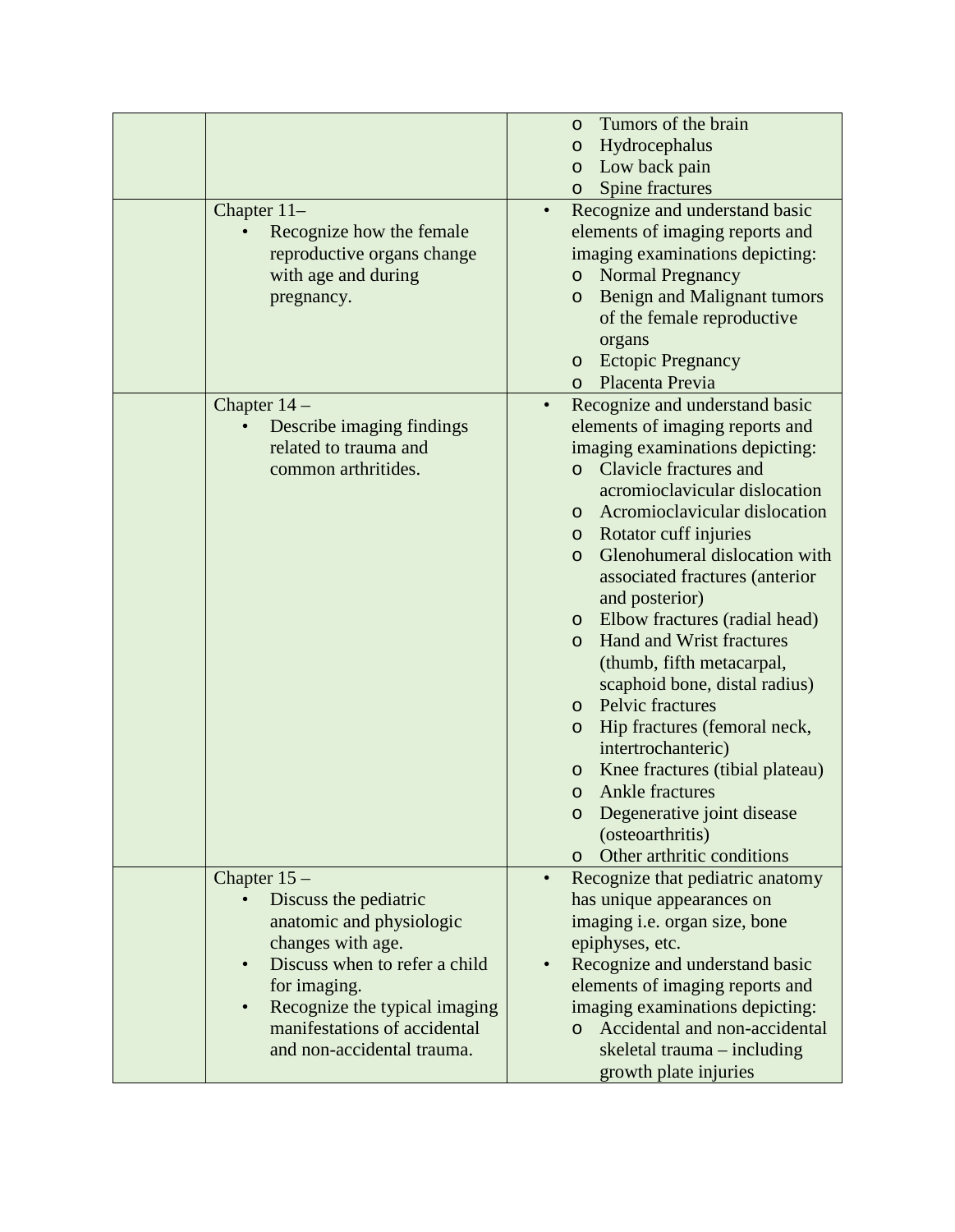|                                            | Tumors of the brain<br>$\circ$                |
|--------------------------------------------|-----------------------------------------------|
|                                            | Hydrocephalus<br>O                            |
|                                            | Low back pain<br>$\circ$                      |
|                                            | Spine fractures<br>$\circ$                    |
| Chapter $11-$                              | Recognize and understand basic<br>$\bullet$   |
| Recognize how the female                   | elements of imaging reports and               |
| reproductive organs change                 | imaging examinations depicting:               |
| with age and during                        | <b>Normal Pregnancy</b><br>$\circ$            |
| pregnancy.                                 | Benign and Malignant tumors<br>$\circ$        |
|                                            | of the female reproductive                    |
|                                            | organs                                        |
|                                            | <b>Ectopic Pregnancy</b><br>$\circ$           |
|                                            | Placenta Previa<br>$\circ$                    |
|                                            |                                               |
| Chapter 14 -                               | Recognize and understand basic                |
| Describe imaging findings                  | elements of imaging reports and               |
| related to trauma and                      | imaging examinations depicting:               |
| common arthritides.                        | Clavicle fractures and<br>$\Omega$            |
|                                            | acromioclavicular dislocation                 |
|                                            | Acromioclavicular dislocation<br>$\circ$      |
|                                            | Rotator cuff injuries<br>$\circ$              |
|                                            | Glenohumeral dislocation with<br>$\circ$      |
|                                            | associated fractures (anterior                |
|                                            | and posterior)                                |
|                                            | Elbow fractures (radial head)<br>$\circ$      |
|                                            | Hand and Wrist fractures<br>$\circ$           |
|                                            | (thumb, fifth metacarpal,                     |
|                                            | scaphoid bone, distal radius)                 |
|                                            | Pelvic fractures<br>$\circ$                   |
|                                            | Hip fractures (femoral neck,<br>$\circ$       |
|                                            | intertrochanteric)                            |
|                                            | Knee fractures (tibial plateau)<br>$\circ$    |
|                                            | Ankle fractures<br>$\circ$                    |
|                                            | Degenerative joint disease<br>$\circ$         |
|                                            | (osteoarthritis)                              |
|                                            | Other arthritic conditions<br>$\circ$         |
| Chapter $15-$                              | Recognize that pediatric anatomy<br>$\bullet$ |
| Discuss the pediatric                      | has unique appearances on                     |
| anatomic and physiologic                   | imaging i.e. organ size, bone                 |
| changes with age.                          | epiphyses, etc.                               |
| Discuss when to refer a child<br>$\bullet$ | Recognize and understand basic                |
| for imaging.                               | elements of imaging reports and               |
| Recognize the typical imaging<br>$\bullet$ | imaging examinations depicting:               |
| manifestations of accidental               | Accidental and non-accidental<br>$\Omega$     |
| and non-accidental trauma.                 | skeletal trauma – including                   |
|                                            | growth plate injuries                         |
|                                            |                                               |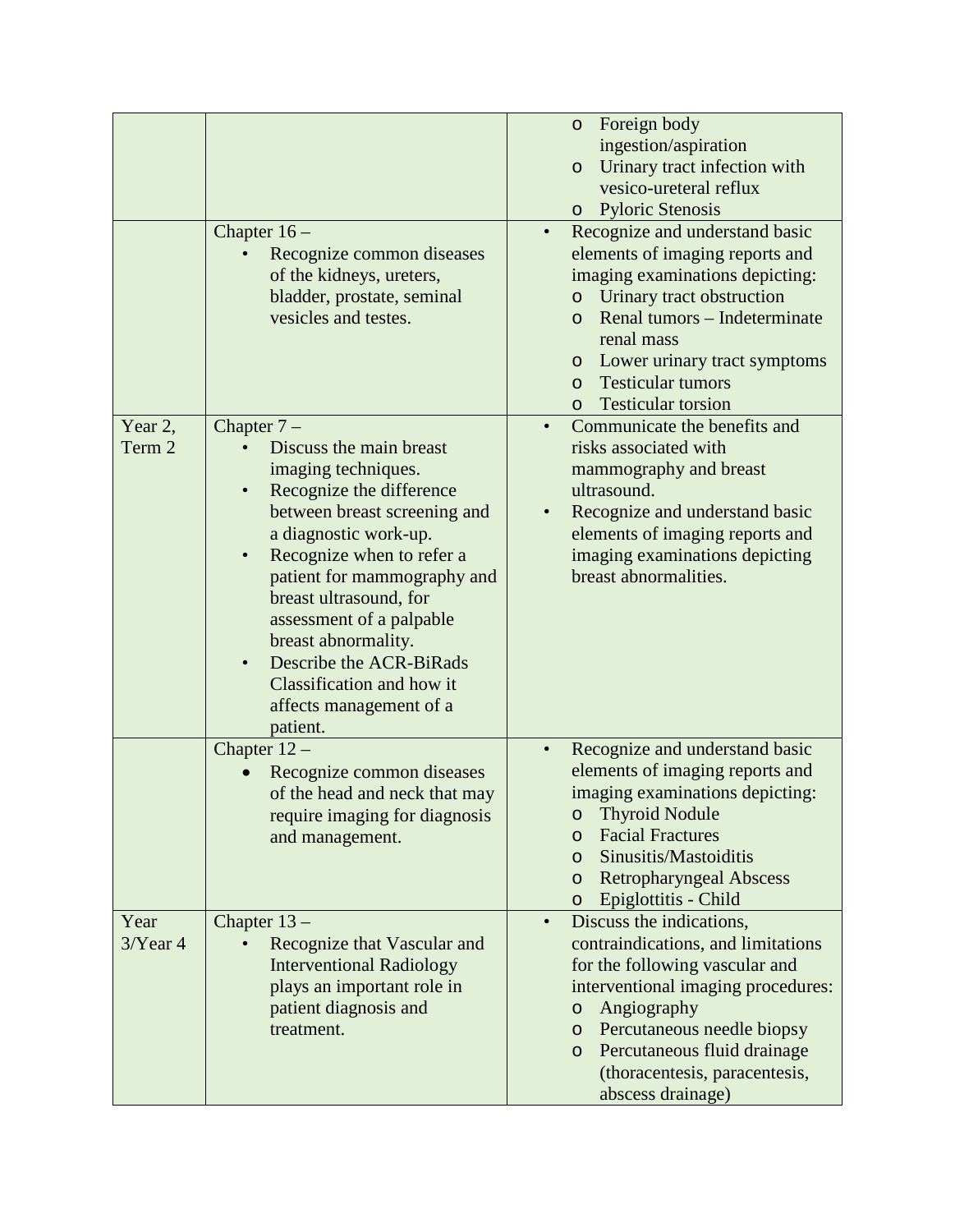|                    | Chapter $16-$<br>Recognize common diseases<br>of the kidneys, ureters,<br>bladder, prostate, seminal<br>vesicles and testes.                                                                                                                                                                                                                                                                | o Foreign body<br>ingestion/aspiration<br>Urinary tract infection with<br>$\circ$<br>vesico-ureteral reflux<br>o Pyloric Stenosis<br>Recognize and understand basic<br>$\bullet$<br>elements of imaging reports and<br>imaging examinations depicting:<br>Urinary tract obstruction<br>$\circ$<br>Renal tumors – Indeterminate<br>$\Omega$<br>renal mass<br>o Lower urinary tract symptoms<br><b>Testicular tumors</b><br>$\Omega$<br><b>Testicular torsion</b><br>$\circ$ |
|--------------------|---------------------------------------------------------------------------------------------------------------------------------------------------------------------------------------------------------------------------------------------------------------------------------------------------------------------------------------------------------------------------------------------|----------------------------------------------------------------------------------------------------------------------------------------------------------------------------------------------------------------------------------------------------------------------------------------------------------------------------------------------------------------------------------------------------------------------------------------------------------------------------|
| Year 2,<br>Term 2  | Chapter $7-$<br>Discuss the main breast<br>imaging techniques.<br>Recognize the difference<br>between breast screening and<br>a diagnostic work-up.<br>Recognize when to refer a<br>patient for mammography and<br>breast ultrasound, for<br>assessment of a palpable<br>breast abnormality.<br>Describe the ACR-BiRads<br>Classification and how it<br>affects management of a<br>patient. | Communicate the benefits and<br>risks associated with<br>mammography and breast<br>ultrasound.<br>Recognize and understand basic<br>elements of imaging reports and<br>imaging examinations depicting<br>breast abnormalities.                                                                                                                                                                                                                                             |
|                    | Chapter $12-$<br>Recognize common diseases<br>of the head and neck that may<br>require imaging for diagnosis<br>and management.                                                                                                                                                                                                                                                             | Recognize and understand basic<br>$\bullet$<br>elements of imaging reports and<br>imaging examinations depicting:<br><b>Thyroid Nodule</b><br>$\circ$<br><b>Facial Fractures</b><br>$\circ$<br>Sinusitis/Mastoiditis<br>$\circ$<br><b>Retropharyngeal Abscess</b><br>$\circ$<br>Epiglottitis - Child<br>$\circ$                                                                                                                                                            |
| Year<br>$3$ Year 4 | Chapter $13-$<br>Recognize that Vascular and<br><b>Interventional Radiology</b><br>plays an important role in<br>patient diagnosis and<br>treatment.                                                                                                                                                                                                                                        | Discuss the indications,<br>$\bullet$<br>contraindications, and limitations<br>for the following vascular and<br>interventional imaging procedures:<br>Angiography<br>$\circ$<br>Percutaneous needle biopsy<br>$\circ$<br>Percutaneous fluid drainage<br>$\circ$<br>(thoracentesis, paracentesis,<br>abscess drainage)                                                                                                                                                     |